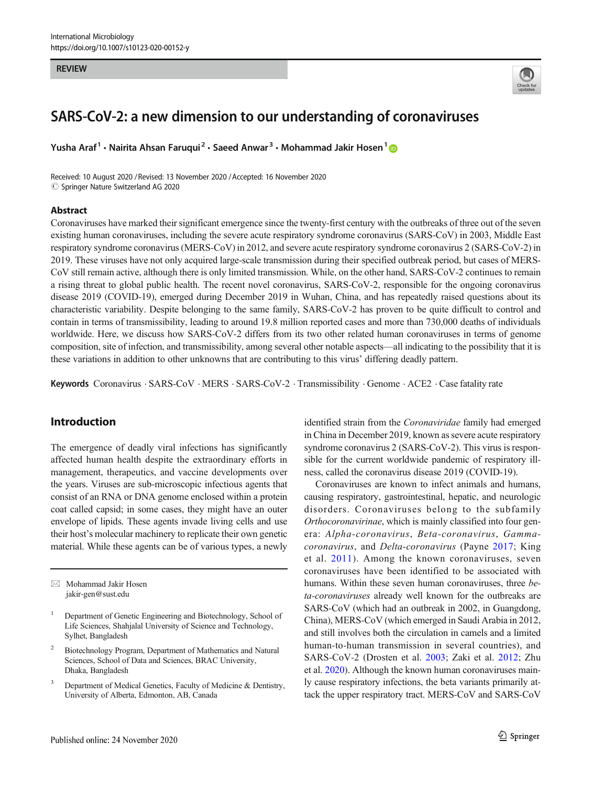#### **REVIEW**



# SARS-CoV-2: a new dimension to our understanding of coronaviruses

Yusha Araf<sup>1</sup> • Nairita Ahsan Faruqui<sup>2</sup> • Saeed Anwar<sup>3</sup> • Mohammad Jakir Hosen<sup>1</sup>

Received: 10 August 2020 / Revised: 13 November 2020 /Accepted: 16 November 2020 **C Springer Nature Switzerland AG 2020** 

#### Abstract

Coronaviruses have marked their significant emergence since the twenty-first century with the outbreaks of three out of the seven existing human coronaviruses, including the severe acute respiratory syndrome coronavirus (SARS-CoV) in 2003, Middle East respiratory syndrome coronavirus (MERS-CoV) in 2012, and severe acute respiratory syndrome coronavirus 2 (SARS-CoV-2) in 2019. These viruses have not only acquired large-scale transmission during their specified outbreak period, but cases of MERS-CoV still remain active, although there is only limited transmission. While, on the other hand, SARS-CoV-2 continues to remain a rising threat to global public health. The recent novel coronavirus, SARS-CoV-2, responsible for the ongoing coronavirus disease 2019 (COVID-19), emerged during December 2019 in Wuhan, China, and has repeatedly raised questions about its characteristic variability. Despite belonging to the same family, SARS-CoV-2 has proven to be quite difficult to control and contain in terms of transmissibility, leading to around 19.8 million reported cases and more than 730,000 deaths of individuals worldwide. Here, we discuss how SARS-CoV-2 differs from its two other related human coronaviruses in terms of genome composition, site of infection, and transmissibility, among several other notable aspects—all indicating to the possibility that it is these variations in addition to other unknowns that are contributing to this virus' differing deadly pattern.

Keywords Coronavirus · SARS-CoV · MERS · SARS-CoV-2 · Transmissibility · Genome · ACE2 · Case fatality rate

# Introduction

The emergence of deadly viral infections has significantly affected human health despite the extraordinary efforts in management, therapeutics, and vaccine developments over the years. Viruses are sub-microscopic infectious agents that consist of an RNA or DNA genome enclosed within a protein coat called capsid; in some cases, they might have an outer envelope of lipids. These agents invade living cells and use their host's molecular machinery to replicate their own genetic material. While these agents can be of various types, a newly

 $\boxtimes$  Mohammad Jakir Hosen [jakir-gen@sust.edu](mailto:jakir-gen@sust.edu)

identified strain from the Coronaviridae family had emerged in China in December 2019, known as severe acute respiratory syndrome coronavirus 2 (SARS-CoV-2). This virus is responsible for the current worldwide pandemic of respiratory illness, called the coronavirus disease 2019 (COVID-19).

Coronaviruses are known to infect animals and humans, causing respiratory, gastrointestinal, hepatic, and neurologic disorders. Coronaviruses belong to the subfamily Orthocoronavirinae, which is mainly classified into four genera: Alpha-coronavirus, Beta-coronavirus, Gammacoronavirus, and Delta-coronavirus (Payne [2017;](#page-5-0) King et al. [2011\)](#page-5-0). Among the known coronaviruses, seven coronaviruses have been identified to be associated with humans. Within these seven human coronaviruses, three beta-coronaviruses already well known for the outbreaks are SARS-CoV (which had an outbreak in 2002, in Guangdong, China), MERS-CoV (which emerged in Saudi Arabia in 2012, and still involves both the circulation in camels and a limited human-to-human transmission in several countries), and SARS-CoV-2 (Drosten et al. [2003](#page-4-0); Zaki et al. [2012;](#page-5-0) Zhu et al. [2020\)](#page-5-0). Although the known human coronaviruses mainly cause respiratory infections, the beta variants primarily attack the upper respiratory tract. MERS-CoV and SARS-CoV

<sup>&</sup>lt;sup>1</sup> Department of Genetic Engineering and Biotechnology, School of Life Sciences, Shahjalal University of Science and Technology, Sylhet, Bangladesh

<sup>2</sup> Biotechnology Program, Department of Mathematics and Natural Sciences, School of Data and Sciences, BRAC University, Dhaka, Bangladesh

Department of Medical Genetics, Faculty of Medicine & Dentistry, University of Alberta, Edmonton, AB, Canada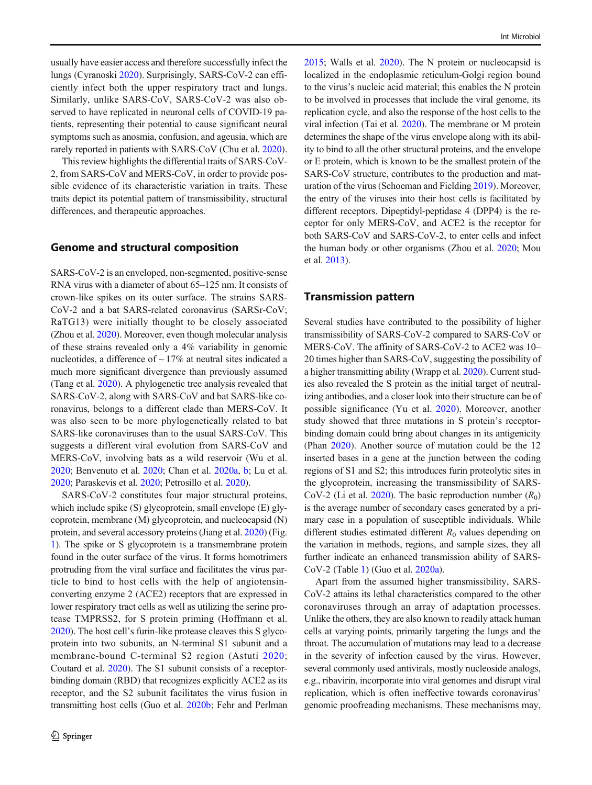usually have easier access and therefore successfully infect the lungs (Cyranoski [2020\)](#page-4-0). Surprisingly, SARS-CoV-2 can efficiently infect both the upper respiratory tract and lungs. Similarly, unlike SARS-CoV, SARS-CoV-2 was also observed to have replicated in neuronal cells of COVID-19 patients, representing their potential to cause significant neural symptoms such as anosmia, confusion, and ageusia, which are rarely reported in patients with SARS-CoV (Chu et al. [2020\)](#page-4-0).

This review highlights the differential traits of SARS-CoV-2, from SARS-CoV and MERS-CoV, in order to provide possible evidence of its characteristic variation in traits. These traits depict its potential pattern of transmissibility, structural differences, and therapeutic approaches.

#### Genome and structural composition

SARS-CoV-2 is an enveloped, non-segmented, positive-sense RNA virus with a diameter of about 65–125 nm. It consists of crown-like spikes on its outer surface. The strains SARS-CoV-2 and a bat SARS-related coronavirus (SARSr-CoV; RaTG13) were initially thought to be closely associated (Zhou et al. [2020](#page-5-0)). Moreover, even though molecular analysis of these strains revealed only a 4% variability in genomic nucleotides, a difference of  $\sim$  17% at neutral sites indicated a much more significant divergence than previously assumed (Tang et al. [2020\)](#page-5-0). A phylogenetic tree analysis revealed that SARS-CoV-2, along with SARS-CoV and bat SARS-like coronavirus, belongs to a different clade than MERS-CoV. It was also seen to be more phylogenetically related to bat SARS-like coronaviruses than to the usual SARS-CoV. This suggests a different viral evolution from SARS-CoV and MERS-CoV, involving bats as a wild reservoir (Wu et al. [2020;](#page-5-0) Benvenuto et al. [2020;](#page-4-0) Chan et al. [2020a,](#page-4-0) [b;](#page-4-0) Lu et al. [2020;](#page-5-0) Paraskevis et al. [2020;](#page-5-0) Petrosillo et al. [2020\)](#page-5-0).

SARS-CoV-2 constitutes four major structural proteins, which include spike (S) glycoprotein, small envelope (E) glycoprotein, membrane (M) glycoprotein, and nucleocapsid (N) protein, and several accessory proteins (Jiang et al. [2020](#page-5-0)) (Fig. [1\)](#page-2-0). The spike or S glycoprotein is a transmembrane protein found in the outer surface of the virus. It forms homotrimers protruding from the viral surface and facilitates the virus particle to bind to host cells with the help of angiotensinconverting enzyme 2 (ACE2) receptors that are expressed in lower respiratory tract cells as well as utilizing the serine protease TMPRSS2, for S protein priming (Hoffmann et al. [2020\)](#page-4-0). The host cell's furin-like protease cleaves this S glycoprotein into two subunits, an N-terminal S1 subunit and a membrane-bound C-terminal S2 region (Astuti [2020](#page-4-0); Coutard et al. [2020](#page-4-0)). The S1 subunit consists of a receptorbinding domain (RBD) that recognizes explicitly ACE2 as its receptor, and the S2 subunit facilitates the virus fusion in transmitting host cells (Guo et al. [2020b](#page-4-0); Fehr and Perlman [2015;](#page-4-0) Walls et al. [2020\)](#page-5-0). The N protein or nucleocapsid is localized in the endoplasmic reticulum-Golgi region bound to the virus's nucleic acid material; this enables the N protein to be involved in processes that include the viral genome, its replication cycle, and also the response of the host cells to the viral infection (Tai et al. [2020](#page-5-0)). The membrane or M protein determines the shape of the virus envelope along with its ability to bind to all the other structural proteins, and the envelope or E protein, which is known to be the smallest protein of the SARS-CoV structure, contributes to the production and maturation of the virus (Schoeman and Fielding [2019\)](#page-5-0). Moreover, the entry of the viruses into their host cells is facilitated by different receptors. Dipeptidyl-peptidase 4 (DPP4) is the receptor for only MERS-CoV, and ACE2 is the receptor for both SARS-CoV and SARS-CoV-2, to enter cells and infect the human body or other organisms (Zhou et al. [2020;](#page-5-0) Mou et al. [2013](#page-5-0)).

#### Transmission pattern

Several studies have contributed to the possibility of higher transmissibility of SARS-CoV-2 compared to SARS-CoV or MERS-CoV. The affinity of SARS-CoV-2 to ACE2 was 10– 20 times higher than SARS-CoV, suggesting the possibility of a higher transmitting ability (Wrapp et al. [2020\)](#page-5-0). Current studies also revealed the S protein as the initial target of neutralizing antibodies, and a closer look into their structure can be of possible significance (Yu et al. [2020\)](#page-5-0). Moreover, another study showed that three mutations in S protein's receptorbinding domain could bring about changes in its antigenicity (Phan [2020](#page-5-0)). Another source of mutation could be the 12 inserted bases in a gene at the junction between the coding regions of S1 and S2; this introduces furin proteolytic sites in the glycoprotein, increasing the transmissibility of SARS-CoV-2 (Li et al. [2020\)](#page-5-0). The basic reproduction number  $(R_0)$ is the average number of secondary cases generated by a primary case in a population of susceptible individuals. While different studies estimated different  $R_0$  values depending on the variation in methods, regions, and sample sizes, they all further indicate an enhanced transmission ability of SARS-CoV-2 (Table [1](#page-2-0)) (Guo et al. [2020a\)](#page-4-0).

Apart from the assumed higher transmissibility, SARS-CoV-2 attains its lethal characteristics compared to the other coronaviruses through an array of adaptation processes. Unlike the others, they are also known to readily attack human cells at varying points, primarily targeting the lungs and the throat. The accumulation of mutations may lead to a decrease in the severity of infection caused by the virus. However, several commonly used antivirals, mostly nucleoside analogs, e.g., ribavirin, incorporate into viral genomes and disrupt viral replication, which is often ineffective towards coronavirus' genomic proofreading mechanisms. These mechanisms may,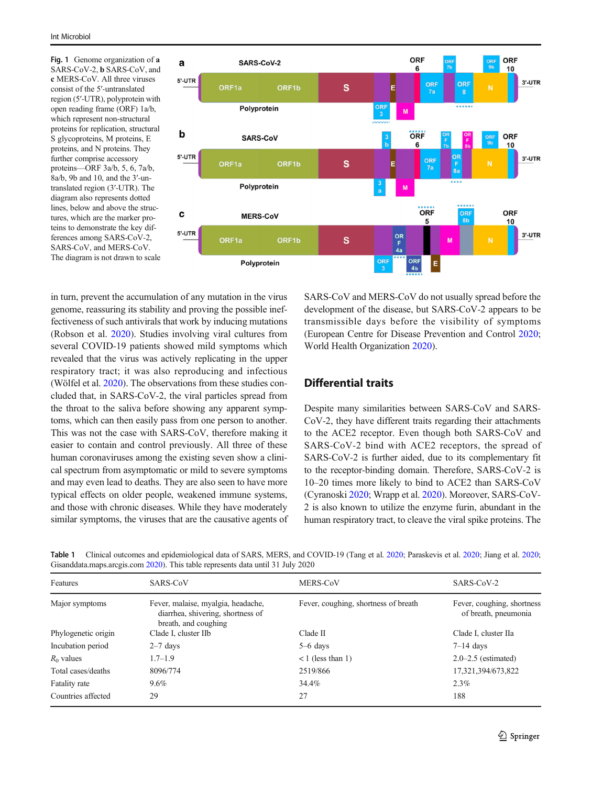<span id="page-2-0"></span>Fig. 1 Genome organization of a SARS-CoV-2, b SARS-CoV, and c MERS-CoV. All three viruses consist of the 5′-untranslated region (5′-UTR), polyprotein with open reading frame (ORF) 1a/b, which represent non-structural proteins for replication, structural S glycoproteins, M proteins, E proteins, and N proteins. They further comprise accessory proteins—ORF 3a/b, 5, 6, 7a/b, 8a/b, 9b and 10, and the 3′-untranslated region (3′-UTR). The diagram also represents dotted lines, below and above the structures, which are the marker proteins to demonstrate the key differences among SARS-CoV-2, SARS-CoV, and MERS-CoV. The diagram is not drawn to scale



in turn, prevent the accumulation of any mutation in the virus genome, reassuring its stability and proving the possible ineffectiveness of such antivirals that work by inducing mutations (Robson et al. [2020](#page-5-0)). Studies involving viral cultures from several COVID-19 patients showed mild symptoms which revealed that the virus was actively replicating in the upper respiratory tract; it was also reproducing and infectious (Wölfel et al. [2020](#page-5-0)). The observations from these studies concluded that, in SARS-CoV-2, the viral particles spread from the throat to the saliva before showing any apparent symptoms, which can then easily pass from one person to another. This was not the case with SARS-CoV, therefore making it easier to contain and control previously. All three of these human coronaviruses among the existing seven show a clinical spectrum from asymptomatic or mild to severe symptoms and may even lead to deaths. They are also seen to have more typical effects on older people, weakened immune systems, and those with chronic diseases. While they have moderately similar symptoms, the viruses that are the causative agents of SARS-CoV and MERS-CoV do not usually spread before the development of the disease, but SARS-CoV-2 appears to be transmissible days before the visibility of symptoms (European Centre for Disease Prevention and Control [2020;](#page-4-0) World Health Organization [2020\)](#page-5-0).

## Differential traits

Despite many similarities between SARS-CoV and SARS-CoV-2, they have different traits regarding their attachments to the ACE2 receptor. Even though both SARS-CoV and SARS-CoV-2 bind with ACE2 receptors, the spread of SARS-CoV-2 is further aided, due to its complementary fit to the receptor-binding domain. Therefore, SARS-CoV-2 is 10–20 times more likely to bind to ACE2 than SARS-CoV (Cyranoski [2020;](#page-4-0) Wrapp et al. [2020](#page-5-0)). Moreover, SARS-CoV-2 is also known to utilize the enzyme furin, abundant in the human respiratory tract, to cleave the viral spike proteins. The

| Features            | SARS-CoV                                                                                        | MERS-CoV                             | SARS-CoV-2                                         |
|---------------------|-------------------------------------------------------------------------------------------------|--------------------------------------|----------------------------------------------------|
| Major symptoms      | Fever, malaise, myalgia, headache,<br>diarrhea, shivering, shortness of<br>breath, and coughing | Fever, coughing, shortness of breath | Fever, coughing, shortness<br>of breath, pneumonia |
| Phylogenetic origin | Clade I, cluster IIb                                                                            | Clade II                             | Clade I, cluster IIa                               |
| Incubation period   | $2-7$ days                                                                                      | $5-6$ days                           | $7-14$ days                                        |
| $R_0$ values        | $1.7 - 1.9$                                                                                     | $<$ 1 (less than 1)                  | $2.0 - 2.5$ (estimated)                            |
| Total cases/deaths  | 8096/774                                                                                        | 2519/866                             | 17,321,394/673,822                                 |
| Fatality rate       | $9.6\%$                                                                                         | 34.4%                                | 2.3%                                               |
| Countries affected  | 29                                                                                              | 27                                   | 188                                                |
|                     |                                                                                                 |                                      |                                                    |

Table 1 Clinical outcomes and epidemiological data of SARS, MERS, and COVID-19 (Tang et al. [2020;](#page-5-0) Paraskevis et al. 2020; Jiang et al. 2020; Gisanddata.maps.arcgis.com [2020\)](#page-4-0). This table represents data until 31 July 2020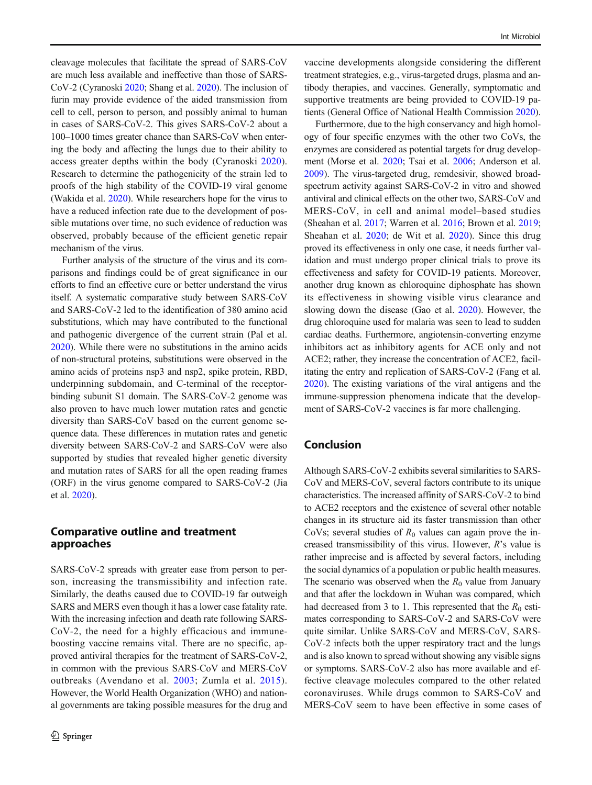cleavage molecules that facilitate the spread of SARS-CoV are much less available and ineffective than those of SARS-CoV-2 (Cyranoski [2020](#page-4-0); Shang et al. [2020\)](#page-5-0). The inclusion of furin may provide evidence of the aided transmission from cell to cell, person to person, and possibly animal to human in cases of SARS-CoV-2. This gives SARS-CoV-2 about a 100–1000 times greater chance than SARS-CoV when entering the body and affecting the lungs due to their ability to access greater depths within the body (Cyranoski [2020](#page-4-0)). Research to determine the pathogenicity of the strain led to proofs of the high stability of the COVID-19 viral genome (Wakida et al. [2020](#page-5-0)). While researchers hope for the virus to have a reduced infection rate due to the development of possible mutations over time, no such evidence of reduction was observed, probably because of the efficient genetic repair mechanism of the virus.

Further analysis of the structure of the virus and its comparisons and findings could be of great significance in our efforts to find an effective cure or better understand the virus itself. A systematic comparative study between SARS-CoV and SARS-CoV-2 led to the identification of 380 amino acid substitutions, which may have contributed to the functional and pathogenic divergence of the current strain (Pal et al. [2020\)](#page-5-0). While there were no substitutions in the amino acids of non-structural proteins, substitutions were observed in the amino acids of proteins nsp3 and nsp2, spike protein, RBD, underpinning subdomain, and C-terminal of the receptorbinding subunit S1 domain. The SARS-CoV-2 genome was also proven to have much lower mutation rates and genetic diversity than SARS-CoV based on the current genome sequence data. These differences in mutation rates and genetic diversity between SARS-CoV-2 and SARS-CoV were also supported by studies that revealed higher genetic diversity and mutation rates of SARS for all the open reading frames (ORF) in the virus genome compared to SARS-CoV-2 (Jia et al. [2020](#page-4-0)).

## Comparative outline and treatment approaches

SARS-CoV-2 spreads with greater ease from person to person, increasing the transmissibility and infection rate. Similarly, the deaths caused due to COVID-19 far outweigh SARS and MERS even though it has a lower case fatality rate. With the increasing infection and death rate following SARS-CoV-2, the need for a highly efficacious and immuneboosting vaccine remains vital. There are no specific, approved antiviral therapies for the treatment of SARS-CoV-2, in common with the previous SARS-CoV and MERS-CoV outbreaks (Avendano et al. [2003](#page-4-0); Zumla et al. 2015). However, the World Health Organization (WHO) and national governments are taking possible measures for the drug and

vaccine developments alongside considering the different treatment strategies, e.g., virus-targeted drugs, plasma and antibody therapies, and vaccines. Generally, symptomatic and supportive treatments are being provided to COVID-19 patients (General Office of National Health Commission [2020\)](#page-4-0).

Furthermore, due to the high conservancy and high homology of four specific enzymes with the other two CoVs, the enzymes are considered as potential targets for drug development (Morse et al. [2020](#page-5-0); Tsai et al. [2006;](#page-5-0) Anderson et al. [2009\)](#page-4-0). The virus-targeted drug, remdesivir, showed broadspectrum activity against SARS-CoV-2 in vitro and showed antiviral and clinical effects on the other two, SARS-CoV and MERS-CoV, in cell and animal model–based studies (Sheahan et al. [2017](#page-5-0); Warren et al. [2016](#page-5-0); Brown et al. [2019;](#page-4-0) Sheahan et al. [2020;](#page-5-0) de Wit et al. [2020\)](#page-4-0). Since this drug proved its effectiveness in only one case, it needs further validation and must undergo proper clinical trials to prove its effectiveness and safety for COVID-19 patients. Moreover, another drug known as chloroquine diphosphate has shown its effectiveness in showing visible virus clearance and slowing down the disease (Gao et al. [2020\)](#page-4-0). However, the drug chloroquine used for malaria was seen to lead to sudden cardiac deaths. Furthermore, angiotensin-converting enzyme inhibitors act as inhibitory agents for ACE only and not ACE2; rather, they increase the concentration of ACE2, facilitating the entry and replication of SARS-CoV-2 (Fang et al. [2020\)](#page-4-0). The existing variations of the viral antigens and the immune-suppression phenomena indicate that the development of SARS-CoV-2 vaccines is far more challenging.

### Conclusion

Although SARS-CoV-2 exhibits several similarities to SARS-CoV and MERS-CoV, several factors contribute to its unique characteristics. The increased affinity of SARS-CoV-2 to bind to ACE2 receptors and the existence of several other notable changes in its structure aid its faster transmission than other CoVs; several studies of  $R_0$  values can again prove the increased transmissibility of this virus. However,  $R$ 's value is rather imprecise and is affected by several factors, including the social dynamics of a population or public health measures. The scenario was observed when the  $R_0$  value from January and that after the lockdown in Wuhan was compared, which had decreased from 3 to 1. This represented that the  $R_0$  estimates corresponding to SARS-CoV-2 and SARS-CoV were quite similar. Unlike SARS-CoV and MERS-CoV, SARS-CoV-2 infects both the upper respiratory tract and the lungs and is also known to spread without showing any visible signs or symptoms. SARS-CoV-2 also has more available and effective cleavage molecules compared to the other related coronaviruses. While drugs common to SARS-CoV and MERS-CoV seem to have been effective in some cases of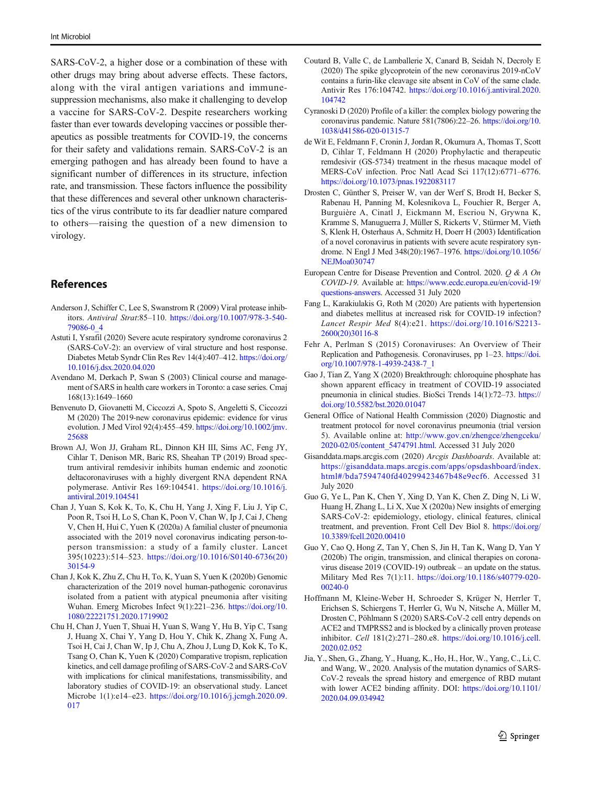<span id="page-4-0"></span>SARS-CoV-2, a higher dose or a combination of these with other drugs may bring about adverse effects. These factors, along with the viral antigen variations and immunesuppression mechanisms, also make it challenging to develop a vaccine for SARS-CoV-2. Despite researchers working faster than ever towards developing vaccines or possible therapeutics as possible treatments for COVID-19, the concerns for their safety and validations remain. SARS-CoV-2 is an emerging pathogen and has already been found to have a significant number of differences in its structure, infection rate, and transmission. These factors influence the possibility that these differences and several other unknown characteristics of the virus contribute to its far deadlier nature compared to others—raising the question of a new dimension to virology.

## References

- Anderson J, Schiffer C, Lee S, Swanstrom R (2009) Viral protease inhibitors. Antiviral Strat:85–110. [https://doi.org/10.1007/978-3-540-](https://doi.org/10.1007/978-3-540-79086-0_4) [79086-0\\_4](https://doi.org/10.1007/978-3-540-79086-0_4)
- Astuti I, Ysrafil (2020) Severe acute respiratory syndrome coronavirus 2 (SARS-CoV-2): an overview of viral structure and host response. Diabetes Metab Syndr Clin Res Rev 14(4):407–412. [https://doi.org/](https://doi.org/10.1016/j.dsx.2020.04.020) [10.1016/j.dsx.2020.04.020](https://doi.org/10.1016/j.dsx.2020.04.020)
- Avendano M, Derkach P, Swan S (2003) Clinical course and management of SARS in health care workers in Toronto: a case series. Cmaj 168(13):1649–1660
- Benvenuto D, Giovanetti M, Ciccozzi A, Spoto S, Angeletti S, Ciccozzi M (2020) The 2019-new coronavirus epidemic: evidence for virus evolution. J Med Virol 92(4):455–459. [https://doi.org/10.1002/jmv.](https://doi.org/10.1002/jmv.25688) [25688](https://doi.org/10.1002/jmv.25688)
- Brown AJ, Won JJ, Graham RL, Dinnon KH III, Sims AC, Feng JY, Cihlar T, Denison MR, Baric RS, Sheahan TP (2019) Broad spectrum antiviral remdesivir inhibits human endemic and zoonotic deltacoronaviruses with a highly divergent RNA dependent RNA polymerase. Antivir Res 169:104541. [https://doi.org/10.1016/j.](https://doi.org/10.1016/j.antiviral.2019.104541) [antiviral.2019.104541](https://doi.org/10.1016/j.antiviral.2019.104541)
- Chan J, Yuan S, Kok K, To, K, Chu H, Yang J, Xing F, Liu J, Yip C, Poon R, Tsoi H, Lo S, Chan K, Poon V, Chan W, Ip J, Cai J, Cheng V, Chen H, Hui C, Yuen K (2020a) A familial cluster of pneumonia associated with the 2019 novel coronavirus indicating person-toperson transmission: a study of a family cluster. Lancet 395(10223):514–523. [https://doi.org/10.1016/S0140-6736\(20\)](https://doi.org/10.1016/S0140-6736(20)30154-9) [30154-9](https://doi.org/10.1016/S0140-6736(20)30154-9)
- Chan J, Kok K, Zhu Z, Chu H, To, K, Yuan S, Yuen K (2020b) Genomic characterization of the 2019 novel human-pathogenic coronavirus isolated from a patient with atypical pneumonia after visiting Wuhan. Emerg Microbes Infect 9(1):221–236. [https://doi.org/10.](https://doi.org/10.1080/22221751.2020.1719902) [1080/22221751.2020.1719902](https://doi.org/10.1080/22221751.2020.1719902)
- Chu H, Chan J, Yuen T, Shuai H, Yuan S, Wang Y, Hu B, Yip C, Tsang J, Huang X, Chai Y, Yang D, Hou Y, Chik K, Zhang X, Fung A, Tsoi H, Cai J, Chan W, Ip J, Chu A, Zhou J, Lung D, Kok K, To K, Tsang O, Chan K, Yuen K (2020) Comparative tropism, replication kinetics, and cell damage profiling of SARS-CoV-2 and SARS-CoV with implications for clinical manifestations, transmissibility, and laboratory studies of COVID-19: an observational study. Lancet Microbe 1(1):e14–e23. [https://doi.org/10.1016/j.jcmgh.2020.09.](https://doi.org/10.1016/j.jcmgh.2020.09.017) [017](https://doi.org/10.1016/j.jcmgh.2020.09.017)
- Coutard B, Valle C, de Lamballerie X, Canard B, Seidah N, Decroly E (2020) The spike glycoprotein of the new coronavirus 2019-nCoV contains a furin-like cleavage site absent in CoV of the same clade. Antivir Res 176:104742. [https://doi.org/10.1016/j.antiviral.2020.](https://doi.org/10.1016/j.antiviral.2020.104742) [104742](https://doi.org/10.1016/j.antiviral.2020.104742)
- Cyranoski D (2020) Profile of a killer: the complex biology powering the coronavirus pandemic. Nature 581(7806):22–26. [https://doi.org/10.](https://doi.org/10.1038/d41586-020-01315-7) [1038/d41586-020-01315-7](https://doi.org/10.1038/d41586-020-01315-7)
- de Wit E, Feldmann F, Cronin J, Jordan R, Okumura A, Thomas T, Scott D, Cihlar T, Feldmann H (2020) Prophylactic and therapeutic remdesivir (GS-5734) treatment in the rhesus macaque model of MERS-CoV infection. Proc Natl Acad Sci 117(12):6771–6776. <https://doi.org/10.1073/pnas.1922083117>
- Drosten C, Günther S, Preiser W, van der Werf S, Brodt H, Becker S, Rabenau H, Panning M, Kolesnikova L, Fouchier R, Berger A, Burguière A, Cinatl J, Eickmann M, Escriou N, Grywna K, Kramme S, Manuguerra J, Müller S, Rickerts V, Stürmer M, Vieth S, Klenk H, Osterhaus A, Schmitz H, Doerr H (2003) Identification of a novel coronavirus in patients with severe acute respiratory syndrome. N Engl J Med 348(20):1967–1976. [https://doi.org/10.1056/](https://doi.org/10.1056/NEJMoa030747) [NEJMoa030747](https://doi.org/10.1056/NEJMoa030747)
- European Centre for Disease Prevention and Control. 2020. Q & A On COVID-19. Available at: [https://www.ecdc.europa.eu/en/covid-19/](https://www.ecdc.europa.eu/en/covid-19/questions-answers) [questions-answers.](https://www.ecdc.europa.eu/en/covid-19/questions-answers) Accessed 31 July 2020
- Fang L, Karakiulakis G, Roth M (2020) Are patients with hypertension and diabetes mellitus at increased risk for COVID-19 infection? Lancet Respir Med 8(4):e21. [https://doi.org/10.1016/S2213-](https://doi.org/10.1016/S2213-2600(20)30116-8) [2600\(20\)30116-8](https://doi.org/10.1016/S2213-2600(20)30116-8)
- Fehr A, Perlman S (2015) Coronaviruses: An Overview of Their Replication and Pathogenesis. Coronaviruses, pp 1–23. [https://doi.](https://doi.org/10.1007/978-1-4939-2438-7_1) [org/10.1007/978-1-4939-2438-7\\_1](https://doi.org/10.1007/978-1-4939-2438-7_1)
- Gao J, Tian Z, Yang X (2020) Breakthrough: chloroquine phosphate has shown apparent efficacy in treatment of COVID-19 associated pneumonia in clinical studies. BioSci Trends 14(1):72–73. [https://](https://doi.org/10.5582/bst.2020.01047) [doi.org/10.5582/bst.2020.01047](https://doi.org/10.5582/bst.2020.01047)
- General Office of National Health Commission (2020) Diagnostic and treatment protocol for novel coronavirus pneumonia (trial version 5). Available online at: [http://www.gov.cn/zhengce/zhengceku/](http://www.gov.cn/zhengce/zhengceku/2020-02/05/content_5474791.html) [2020-02/05/content\\_5474791.html](http://www.gov.cn/zhengce/zhengceku/2020-02/05/content_5474791.html). Accessed 31 July 2020
- Gisanddata.maps.arcgis.com (2020) Arcgis Dashboards. Available at: [https://gisanddata.maps.arcgis.com/apps/opsdashboard/index.](https://gisanddata.maps.arcgis.com/apps/opsdashboard/index.html#/bda7594740fd40299423467b48e9ecf6) [html#/bda7594740fd40299423467b48e9ecf6.](https://gisanddata.maps.arcgis.com/apps/opsdashboard/index.html#/bda7594740fd40299423467b48e9ecf6) Accessed 31 July 2020
- Guo G, Ye L, Pan K, Chen Y, Xing D, Yan K, Chen Z, Ding N, Li W, Huang H, Zhang L, Li X, Xue X (2020a) New insights of emerging SARS-CoV-2: epidemiology, etiology, clinical features, clinical treatment, and prevention. Front Cell Dev Biol 8. [https://doi.org/](https://doi.org/10.3389/fcell.2020.00410) [10.3389/fcell.2020.00410](https://doi.org/10.3389/fcell.2020.00410)
- Guo Y, Cao Q, Hong Z, Tan Y, Chen S, Jin H, Tan K, Wang D, Yan Y (2020b) The origin, transmission, and clinical therapies on coronavirus disease 2019 (COVID-19) outbreak – an update on the status. Military Med Res 7(1):11. [https://doi.org/10.1186/s40779-020-](https://doi.org/10.1186/s40779-020-00240-0) [00240-0](https://doi.org/10.1186/s40779-020-00240-0)
- Hoffmann M, Kleine-Weber H, Schroeder S, Krüger N, Herrler T, Erichsen S, Schiergens T, Herrler G, Wu N, Nitsche A, Müller M, Drosten C, Pöhlmann S (2020) SARS-CoV-2 cell entry depends on ACE2 and TMPRSS2 and is blocked by a clinically proven protease inhibitor. Cell 181(2):271–280.e8. [https://doi.org/10.1016/j.cell.](https://doi.org/10.1016/j.cell.2020.02.052) [2020.02.052](https://doi.org/10.1016/j.cell.2020.02.052)
- Jia, Y., Shen, G., Zhang, Y., Huang, K., Ho, H., Hor, W., Yang, C., Li, C. and Wang, W., 2020. Analysis of the mutation dynamics of SARS-CoV-2 reveals the spread history and emergence of RBD mutant with lower ACE2 binding affinity. DOI: [https://doi.org/10.1101/](https://doi.org/10.1101/2020.04.09.034942) [2020.04.09.034942](https://doi.org/10.1101/2020.04.09.034942)